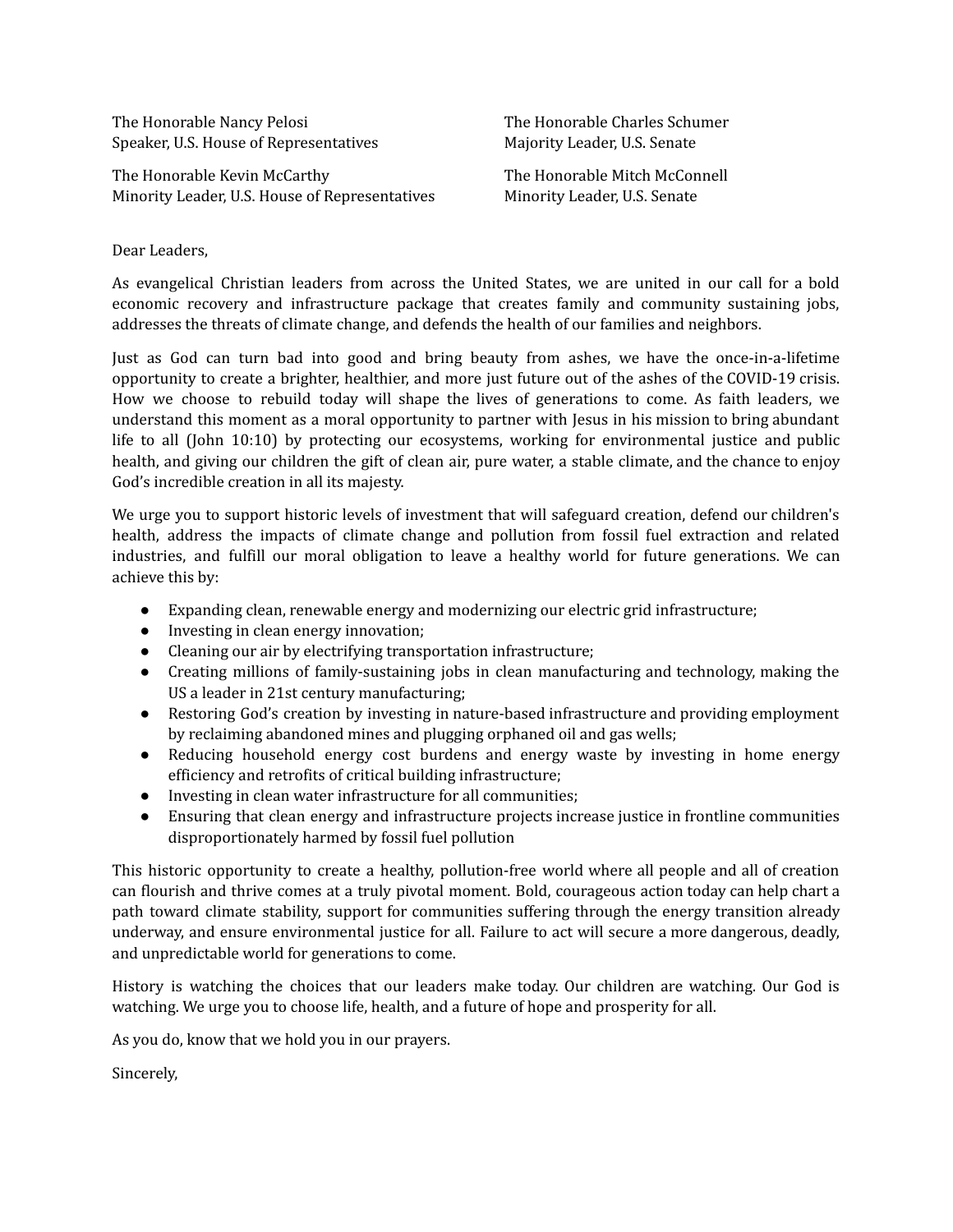The Honorable Nancy Pelosi Speaker, U.S. House of Representatives

The Honorable Kevin McCarthy Minority Leader, U.S. House of Representatives The Honorable Charles Schumer Majority Leader, U.S. Senate

The Honorable Mitch McConnell Minority Leader, U.S. Senate

Dear Leaders,

As evangelical Christian leaders from across the United States, we are united in our call for a bold economic recovery and infrastructure package that creates family and community sustaining jobs, addresses the threats of climate change, and defends the health of our families and neighbors.

Just as God can turn bad into good and bring beauty from ashes, we have the once-in-a-lifetime opportunity to create a brighter, healthier, and more just future out of the ashes of the COVID-19 crisis. How we choose to rebuild today will shape the lives of generations to come. As faith leaders, we understand this moment as a moral opportunity to partner with Jesus in his mission to bring abundant life to all (John 10:10) by protecting our ecosystems, working for environmental justice and public health, and giving our children the gift of clean air, pure water, a stable climate, and the chance to enjoy God's incredible creation in all its majesty.

We urge you to support historic levels of investment that will safeguard creation, defend our children's health, address the impacts of climate change and pollution from fossil fuel extraction and related industries, and fulfill our moral obligation to leave a healthy world for future generations. We can achieve this by:

- Expanding clean, renewable energy and modernizing our electric grid infrastructure;
- Investing in clean energy innovation;
- Cleaning our air by electrifying transportation infrastructure;
- Creating millions of family-sustaining jobs in clean manufacturing and technology, making the US a leader in 21st century manufacturing;
- Restoring God's creation by investing in nature-based infrastructure and providing employment by reclaiming abandoned mines and plugging orphaned oil and gas wells;
- Reducing household energy cost burdens and energy waste by investing in home energy efficiency and retrofits of critical building infrastructure;
- Investing in clean water infrastructure for all communities;
- Ensuring that clean energy and infrastructure projects increase justice in frontline communities disproportionately harmed by fossil fuel pollution

This historic opportunity to create a healthy, pollution-free world where all people and all of creation can flourish and thrive comes at a truly pivotal moment. Bold, courageous action today can help chart a path toward climate stability, support for communities suffering through the energy transition already underway, and ensure environmental justice for all. Failure to act will secure a more dangerous, deadly, and unpredictable world for generations to come.

History is watching the choices that our leaders make today. Our children are watching. Our God is watching. We urge you to choose life, health, and a future of hope and prosperity for all.

As you do, know that we hold you in our prayers.

Sincerely,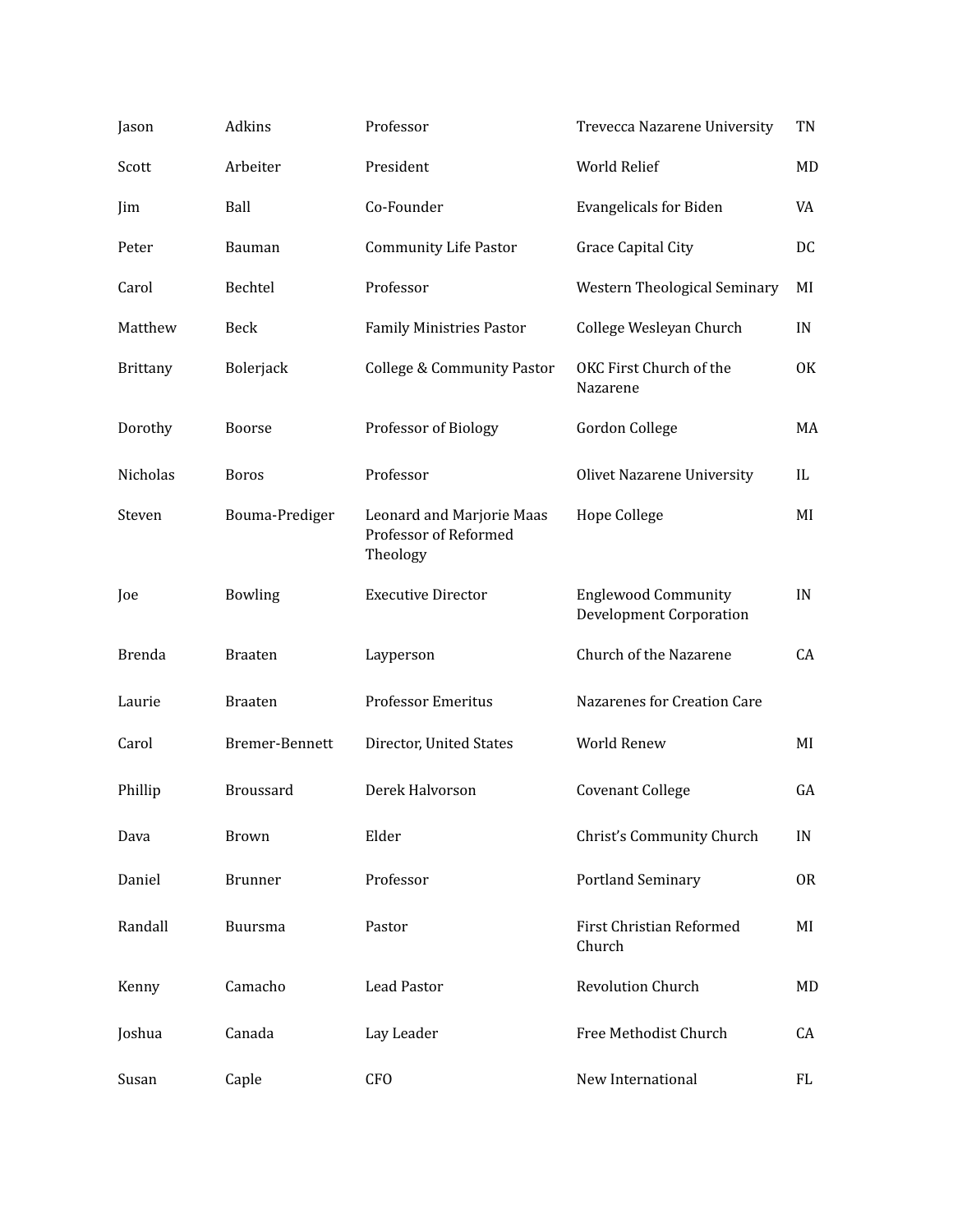| Jason           | Adkins           | Professor                                                      | Trevecca Nazarene University                                 | TN |
|-----------------|------------------|----------------------------------------------------------------|--------------------------------------------------------------|----|
| Scott           | Arbeiter         | President                                                      | World Relief                                                 | MD |
| Jim             | Ball             | Co-Founder                                                     | <b>Evangelicals for Biden</b>                                | VA |
| Peter           | Bauman           | <b>Community Life Pastor</b>                                   | <b>Grace Capital City</b>                                    | DC |
| Carol           | Bechtel          | Professor                                                      | <b>Western Theological Seminary</b>                          | MI |
| Matthew         | Beck             | <b>Family Ministries Pastor</b>                                | College Wesleyan Church                                      | IN |
| <b>Brittany</b> | Bolerjack        | College & Community Pastor                                     | OKC First Church of the<br>Nazarene                          | 0K |
| Dorothy         | Boorse           | Professor of Biology                                           | Gordon College                                               | MA |
| Nicholas        | <b>Boros</b>     | Professor                                                      | <b>Olivet Nazarene University</b>                            | IL |
| Steven          | Bouma-Prediger   | Leonard and Marjorie Maas<br>Professor of Reformed<br>Theology | Hope College                                                 | MI |
| Joe             | Bowling          | <b>Executive Director</b>                                      | <b>Englewood Community</b><br><b>Development Corporation</b> | IN |
| <b>Brenda</b>   | <b>Braaten</b>   | Layperson                                                      | Church of the Nazarene                                       | CA |
| Laurie          | <b>Braaten</b>   | <b>Professor Emeritus</b>                                      | Nazarenes for Creation Care                                  |    |
| Carol           | Bremer-Bennett   | Director, United States                                        | <b>World Renew</b>                                           | MI |
| Phillip         | <b>Broussard</b> | Derek Halvorson                                                | <b>Covenant College</b>                                      | GA |
| Dava            | <b>Brown</b>     | Elder                                                          | Christ's Community Church                                    | IN |
| Daniel          | <b>Brunner</b>   | Professor                                                      | <b>Portland Seminary</b>                                     | 0R |
| Randall         | <b>Buursma</b>   | Pastor                                                         | First Christian Reformed<br>Church                           | MI |
| Kenny           | Camacho          | Lead Pastor                                                    | <b>Revolution Church</b>                                     | MD |
| Joshua          | Canada           | Lay Leader                                                     | Free Methodist Church                                        | CA |
| Susan           | Caple            | <b>CFO</b>                                                     | New International                                            | FL |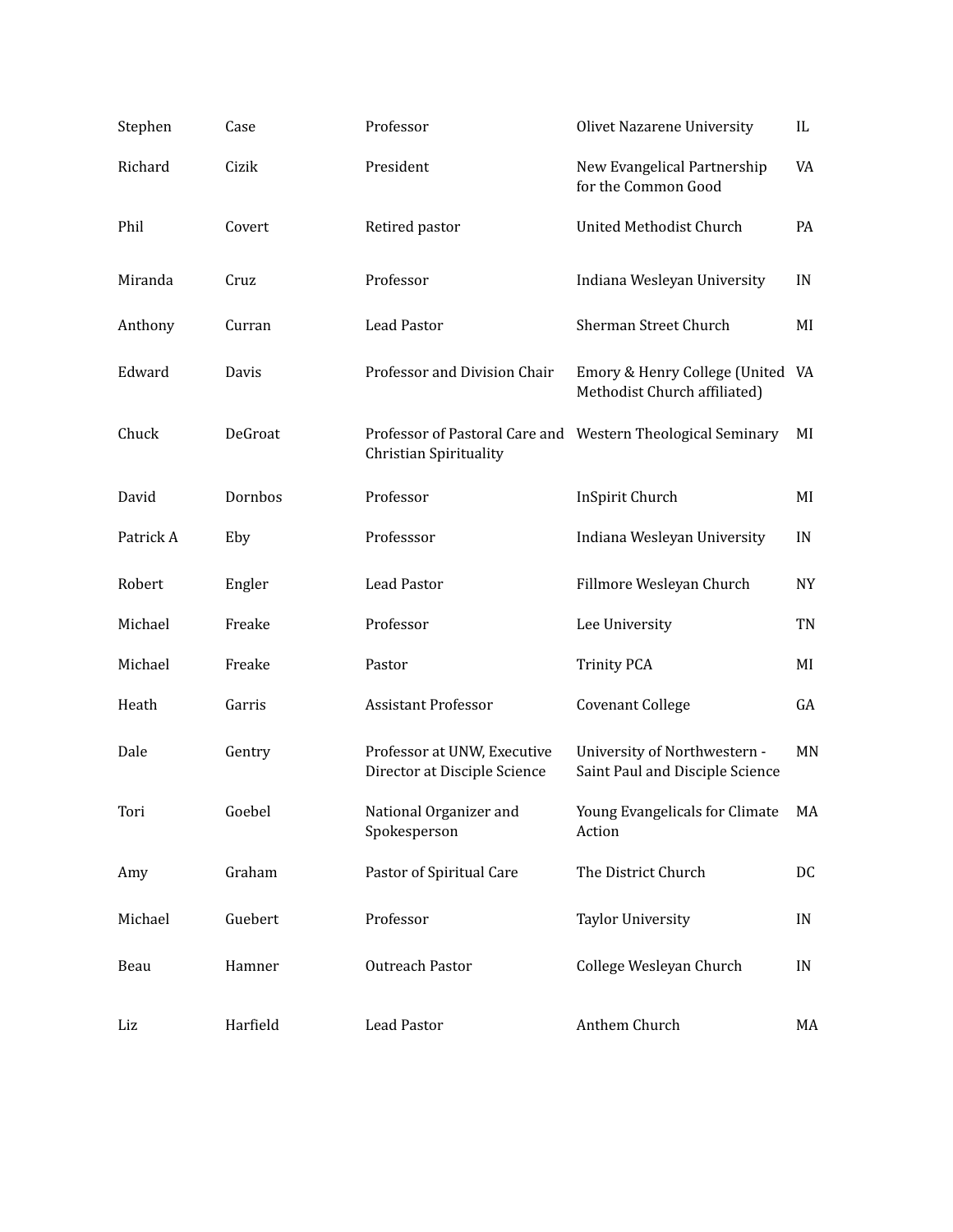| Stephen   | Case     | Professor                                                   | Olivet Nazarene University                                       | IL                   |
|-----------|----------|-------------------------------------------------------------|------------------------------------------------------------------|----------------------|
| Richard   | Cizik    | President                                                   | New Evangelical Partnership<br>for the Common Good               | VA                   |
| Phil      | Covert   | Retired pastor                                              | <b>United Methodist Church</b>                                   | PA                   |
| Miranda   | Cruz     | Professor                                                   | Indiana Wesleyan University                                      | IN                   |
| Anthony   | Curran   | Lead Pastor                                                 | Sherman Street Church                                            | MI                   |
| Edward    | Davis    | Professor and Division Chair                                | Emory & Henry College (United VA<br>Methodist Church affiliated) |                      |
| Chuck     | DeGroat  | Christian Spirituality                                      | Professor of Pastoral Care and Western Theological Seminary      | MI                   |
| David     | Dornbos  | Professor                                                   | InSpirit Church                                                  | MI                   |
| Patrick A | Eby      | Professsor                                                  | Indiana Wesleyan University                                      | IN                   |
| Robert    | Engler   | Lead Pastor                                                 | Fillmore Wesleyan Church                                         | NY                   |
| Michael   | Freake   | Professor                                                   | Lee University                                                   | TN                   |
| Michael   | Freake   | Pastor                                                      | <b>Trinity PCA</b>                                               | MI                   |
| Heath     | Garris   | <b>Assistant Professor</b>                                  | <b>Covenant College</b>                                          | GA                   |
| Dale      | Gentry   | Professor at UNW, Executive<br>Director at Disciple Science | University of Northwestern -<br>Saint Paul and Disciple Science  | MN                   |
| Tori      | Goebel   | National Organizer and<br>Spokesperson                      | Young Evangelicals for Climate MA<br>Action                      |                      |
| Amy       | Graham   | Pastor of Spiritual Care                                    | The District Church                                              | DC                   |
| Michael   | Guebert  | Professor                                                   | Taylor University                                                | $\mathop{\text{IN}}$ |
| Beau      | Hamner   | Outreach Pastor                                             | College Wesleyan Church                                          | $\mathop{\text{IN}}$ |
| Liz       | Harfield | Lead Pastor                                                 | Anthem Church                                                    | MA                   |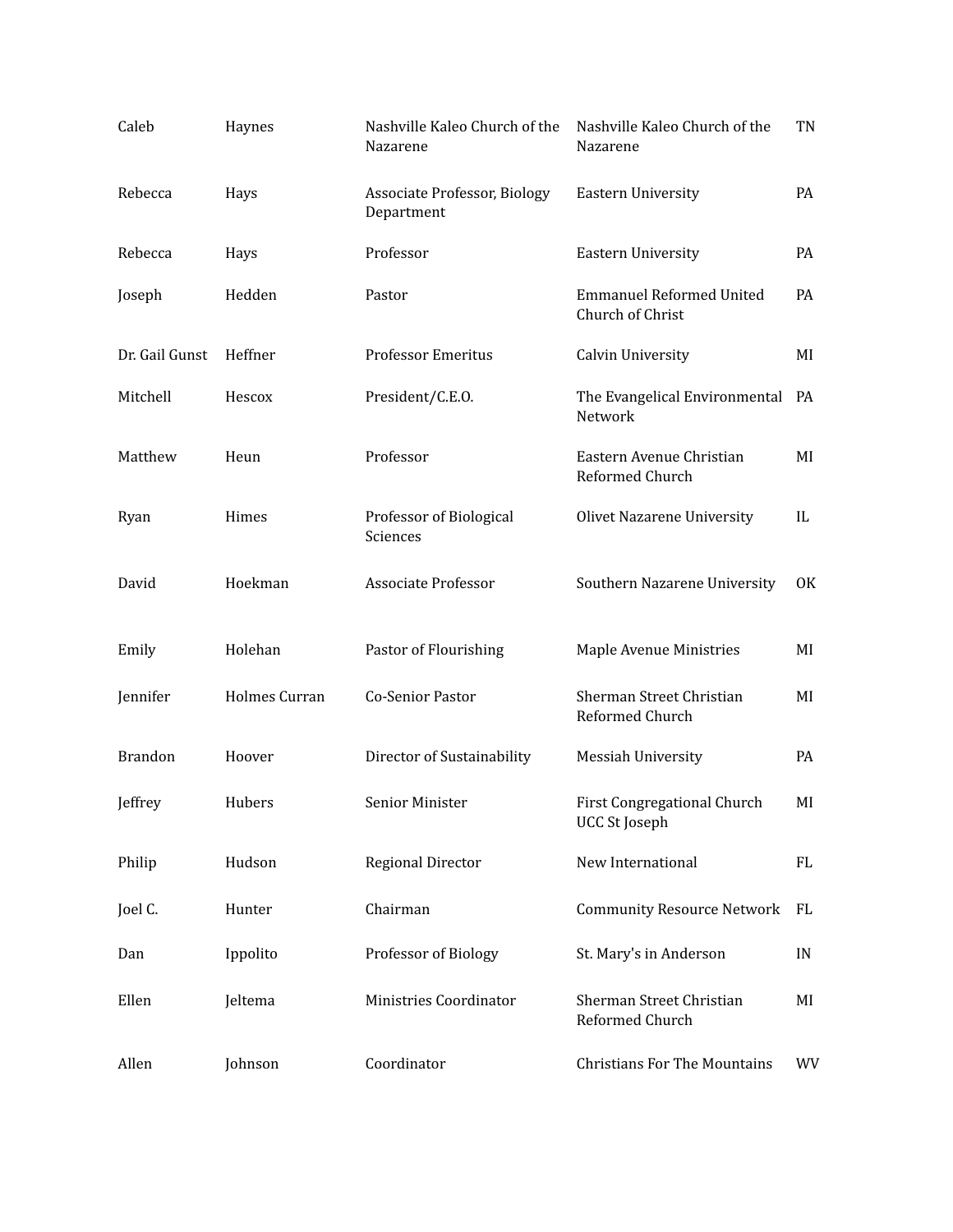| Caleb          | Haynes        | Nashville Kaleo Church of the<br>Nazarene  | Nashville Kaleo Church of the<br>Nazarene           | TN        |
|----------------|---------------|--------------------------------------------|-----------------------------------------------------|-----------|
| Rebecca        | Hays          | Associate Professor, Biology<br>Department | Eastern University                                  | <b>PA</b> |
| Rebecca        | Hays          | Professor                                  | Eastern University                                  | <b>PA</b> |
| Joseph         | Hedden        | Pastor                                     | <b>Emmanuel Reformed United</b><br>Church of Christ | <b>PA</b> |
| Dr. Gail Gunst | Heffner       | <b>Professor Emeritus</b>                  | Calvin University                                   | MI        |
| Mitchell       | Hescox        | President/C.E.O.                           | The Evangelical Environmental<br>Network            | PA        |
| Matthew        | Heun          | Professor                                  | Eastern Avenue Christian<br>Reformed Church         | MI        |
| Ryan           | Himes         | Professor of Biological<br>Sciences        | Olivet Nazarene University                          | IL        |
| David          | Hoekman       | <b>Associate Professor</b>                 | Southern Nazarene University                        | 0K        |
| Emily          | Holehan       | Pastor of Flourishing                      | Maple Avenue Ministries                             | MI        |
| Jennifer       | Holmes Curran | Co-Senior Pastor                           | Sherman Street Christian<br>Reformed Church         | MI        |
| <b>Brandon</b> | Hoover        | Director of Sustainability                 | Messiah University                                  | <b>PA</b> |
| Jeffrey        | Hubers        | Senior Minister                            | First Congregational Church<br>UCC St Joseph        | MI        |
| Philip         | Hudson        | <b>Regional Director</b>                   | New International                                   | FL        |
| Joel C.        | Hunter        | Chairman                                   | <b>Community Resource Network</b>                   | FL        |
| Dan            | Ippolito      | Professor of Biology                       | St. Mary's in Anderson                              | IN        |
| Ellen          | Jeltema       | Ministries Coordinator                     | Sherman Street Christian<br>Reformed Church         | MI        |
| Allen          | Johnson       | Coordinator                                | <b>Christians For The Mountains</b>                 | WV        |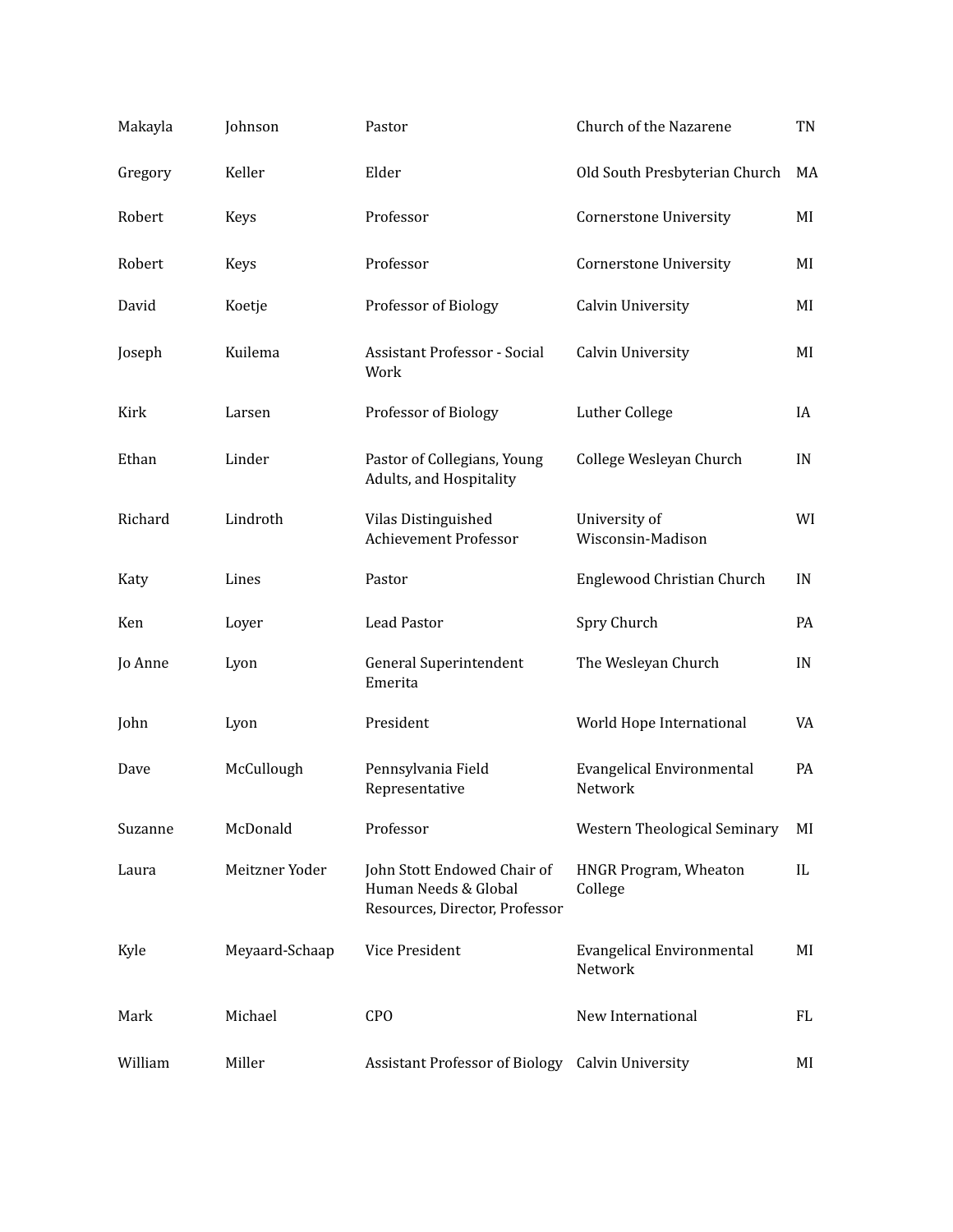| Makayla | Johnson        | Pastor                                                                                | Church of the Nazarene                      | TN |
|---------|----------------|---------------------------------------------------------------------------------------|---------------------------------------------|----|
| Gregory | Keller         | Elder                                                                                 | Old South Presbyterian Church               | MA |
| Robert  | Keys           | Professor                                                                             | <b>Cornerstone University</b>               | MI |
| Robert  | <b>Keys</b>    | Professor                                                                             | <b>Cornerstone University</b>               | MI |
| David   | Koetje         | Professor of Biology                                                                  | Calvin University                           | MI |
| Joseph  | Kuilema        | Assistant Professor - Social<br>Work                                                  | Calvin University                           | MI |
| Kirk    | Larsen         | Professor of Biology                                                                  | Luther College                              | IA |
| Ethan   | Linder         | Pastor of Collegians, Young<br>Adults, and Hospitality                                | College Wesleyan Church                     | IN |
| Richard | Lindroth       | Vilas Distinguished<br><b>Achievement Professor</b>                                   | University of<br>Wisconsin-Madison          | WI |
| Katy    | Lines          | Pastor                                                                                | Englewood Christian Church                  | IN |
| Ken     | Loyer          | Lead Pastor                                                                           | Spry Church                                 | PA |
| Jo Anne | Lyon           | General Superintendent<br>Emerita                                                     | The Wesleyan Church                         | IN |
| John    | Lyon           | President                                                                             | World Hope International                    | VA |
| Dave    | McCullough     | Pennsylvania Field<br>Representative                                                  | <b>Evangelical Environmental</b><br>Network | PA |
| Suzanne | McDonald       | Professor                                                                             | Western Theological Seminary                | MI |
| Laura   | Meitzner Yoder | John Stott Endowed Chair of<br>Human Needs & Global<br>Resources, Director, Professor | HNGR Program, Wheaton<br>College            | IL |
| Kyle    | Meyaard-Schaap | Vice President                                                                        | <b>Evangelical Environmental</b><br>Network | MI |
| Mark    | Michael        | CP <sub>O</sub>                                                                       | New International                           | FL |
| William | Miller         | <b>Assistant Professor of Biology</b>                                                 | Calvin University                           | MI |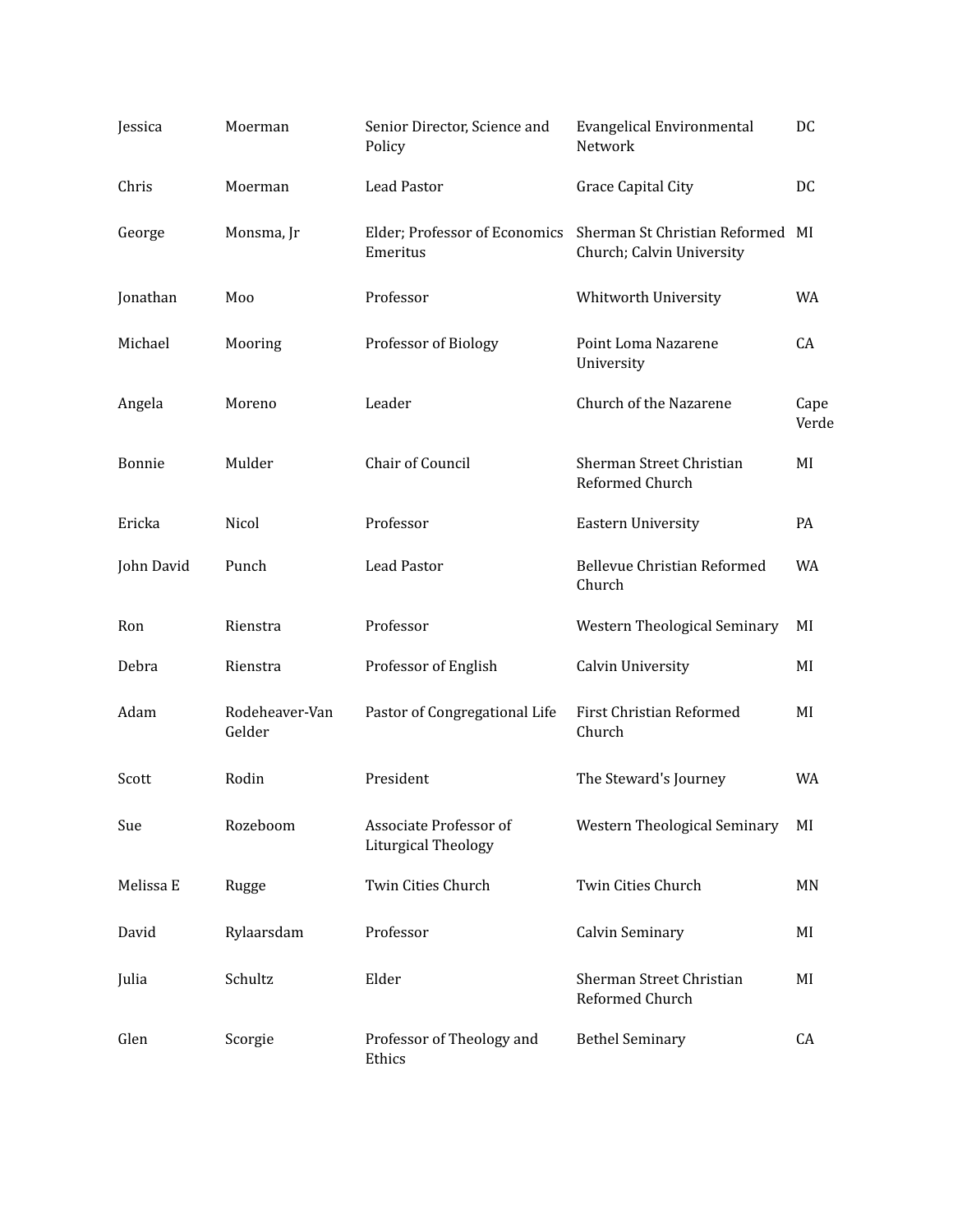| Jessica    | Moerman                  | Senior Director, Science and<br>Policy        | <b>Evangelical Environmental</b><br>Network                   | DC            |
|------------|--------------------------|-----------------------------------------------|---------------------------------------------------------------|---------------|
| Chris      | Moerman                  | <b>Lead Pastor</b>                            | Grace Capital City                                            | DC            |
| George     | Monsma, Jr               | Elder; Professor of Economics<br>Emeritus     | Sherman St Christian Reformed MI<br>Church; Calvin University |               |
| Jonathan   | Moo                      | Professor                                     | Whitworth University                                          | WA            |
| Michael    | Mooring                  | Professor of Biology                          | Point Loma Nazarene<br>University                             | CA            |
| Angela     | Moreno                   | Leader                                        | Church of the Nazarene                                        | Cape<br>Verde |
| Bonnie     | Mulder                   | Chair of Council                              | Sherman Street Christian<br>Reformed Church                   | MI            |
| Ericka     | Nicol                    | Professor                                     | Eastern University                                            | <b>PA</b>     |
| John David | Punch                    | <b>Lead Pastor</b>                            | Bellevue Christian Reformed<br>Church                         | <b>WA</b>     |
| Ron        | Rienstra                 | Professor                                     | Western Theological Seminary                                  | MI            |
| Debra      | Rienstra                 | Professor of English                          | Calvin University                                             | MI            |
| Adam       | Rodeheaver-Van<br>Gelder | Pastor of Congregational Life                 | First Christian Reformed<br>Church                            | MI            |
| Scott      | Rodin                    | President                                     | The Steward's Journey                                         | WA            |
| Sue        | Rozeboom                 | Associate Professor of<br>Liturgical Theology | Western Theological Seminary                                  | MI            |
| Melissa E  | Rugge                    | Twin Cities Church                            | Twin Cities Church                                            | MN            |
| David      | Rylaarsdam               | Professor                                     | Calvin Seminary                                               | MI            |
| Julia      | Schultz                  | Elder                                         | Sherman Street Christian<br>Reformed Church                   | MI            |
| Glen       | Scorgie                  | Professor of Theology and<br>Ethics           | <b>Bethel Seminary</b>                                        | CA            |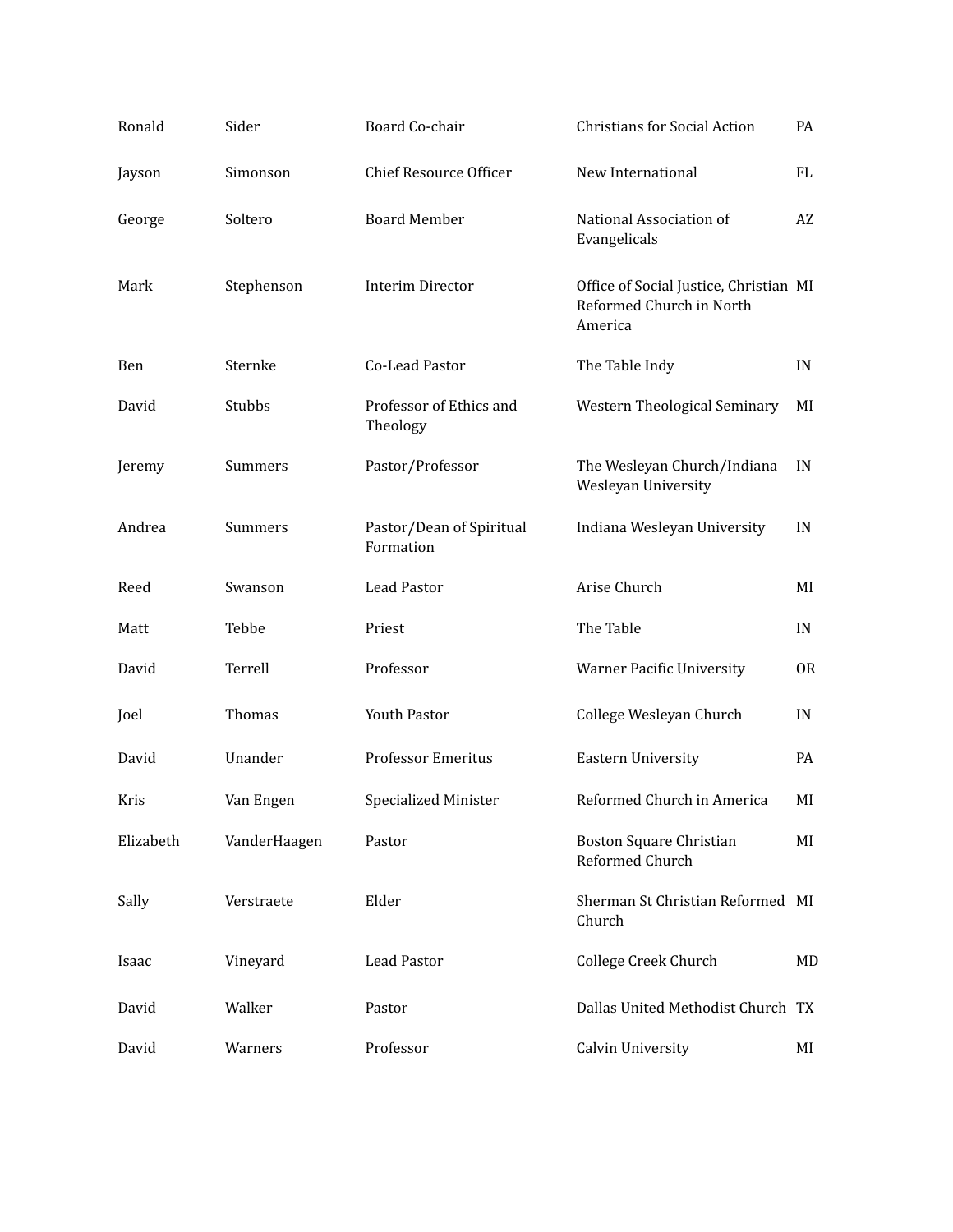| Ronald    | Sider        | Board Co-chair                        | <b>Christians for Social Action</b>                                           | PA        |
|-----------|--------------|---------------------------------------|-------------------------------------------------------------------------------|-----------|
| Jayson    | Simonson     | <b>Chief Resource Officer</b>         | New International                                                             | FL        |
| George    | Soltero      | <b>Board Member</b>                   | National Association of<br>Evangelicals                                       | AZ        |
| Mark      | Stephenson   | <b>Interim Director</b>               | Office of Social Justice, Christian MI<br>Reformed Church in North<br>America |           |
| Ben       | Sternke      | Co-Lead Pastor                        | The Table Indy                                                                | IN        |
| David     | Stubbs       | Professor of Ethics and<br>Theology   | Western Theological Seminary                                                  | MI        |
| Jeremy    | Summers      | Pastor/Professor                      | The Wesleyan Church/Indiana<br>Wesleyan University                            | IN        |
| Andrea    | Summers      | Pastor/Dean of Spiritual<br>Formation | Indiana Wesleyan University                                                   | IN        |
| Reed      | Swanson      | Lead Pastor                           | Arise Church                                                                  | MI        |
| Matt      | Tebbe        | Priest                                | The Table                                                                     | IN        |
| David     | Terrell      | Professor                             | <b>Warner Pacific University</b>                                              | <b>OR</b> |
| Joel      | Thomas       | Youth Pastor                          | College Wesleyan Church                                                       | IN        |
| David     | Unander      | <b>Professor Emeritus</b>             | Eastern University                                                            | PA        |
| Kris      | Van Engen    | Specialized Minister                  | Reformed Church in America                                                    | MI        |
| Elizabeth | VanderHaagen | Pastor                                | Boston Square Christian<br>Reformed Church                                    | MI        |
| Sally     | Verstraete   | Elder                                 | Sherman St Christian Reformed MI<br>Church                                    |           |
| Isaac     | Vineyard     | Lead Pastor                           | College Creek Church                                                          | MD        |
| David     | Walker       | Pastor                                | Dallas United Methodist Church TX                                             |           |
| David     | Warners      | Professor                             | Calvin University                                                             | MI        |